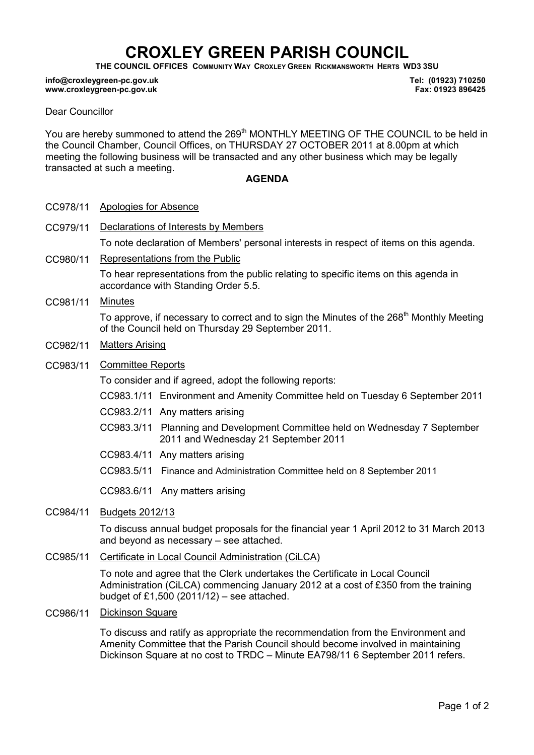# CROXLEY GREEN PARISH COUNCIL

THE COUNCIL OFFICES COMMUNITY WAY CROXLEY GREEN RICKMANSWORTH HERTS WD3 3SU

#### info@croxleygreen-pc.gov.uk www.croxleygreen-pc.gov.uk

Tel: (01923) 710250 Fax: 01923 896425

### Dear Councillor

You are hereby summoned to attend the 269<sup>th</sup> MONTHLY MEETING OF THE COUNCIL to be held in the Council Chamber, Council Offices, on THURSDAY 27 OCTOBER 2011 at 8.00pm at which meeting the following business will be transacted and any other business which may be legally transacted at such a meeting.

#### AGENDA

- CC978/11 Apologies for Absence
- CC979/11 Declarations of Interests by Members To note declaration of Members' personal interests in respect of items on this agenda.
- CC980/11 Representations from the Public To hear representations from the public relating to specific items on this agenda in accordance with Standing Order 5.5.
- CC981/11 Minutes

To approve, if necessary to correct and to sign the Minutes of the 268<sup>th</sup> Monthly Meeting of the Council held on Thursday 29 September 2011.

- CC982/11 Matters Arising
- CC983/11 Committee Reports

To consider and if agreed, adopt the following reports:

- CC983.1/11 Environment and Amenity Committee held on Tuesday 6 September 2011
- CC983.2/11 Any matters arising
- C CC983.3/11 Planning and Development Committee held on Wednesday 7 September 2011 and Wednesday 21 September 2011
- CC983.4/11 Any matters arising
- CC983.5/11 Finance and Administration Committee held on 8 September 2011

CC983.6/11 Any matters arising

CC984/11 Budgets 2012/13

To discuss annual budget proposals for the financial year 1 April 2012 to 31 March 2013 and beyond as necessary – see attached.

### CC985/11 Certificate in Local Council Administration (CiLCA)

To note and agree that the Clerk undertakes the Certificate in Local Council Administration (CiLCA) commencing January 2012 at a cost of £350 from the training budget of £1,500 (2011/12) – see attached.

CC986/11 Dickinson Square

To discuss and ratify as appropriate the recommendation from the Environment and Amenity Committee that the Parish Council should become involved in maintaining Dickinson Square at no cost to TRDC – Minute EA798/11 6 September 2011 refers.